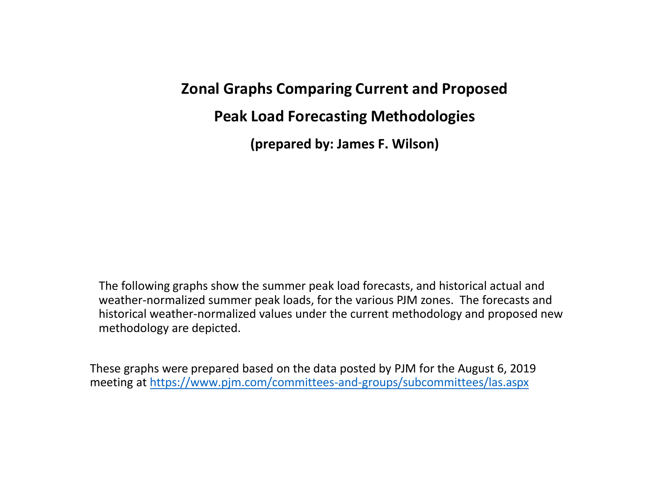## **Zonal Graphs Comparing Current and Proposed**

**Peak Load Forecasting Methodologies**

**(prepared by: James F. Wilson)**

The following graphs show the summer peak load forecasts, and historical actual and weather-normalized summer peak loads, for the various PJM zones. The forecasts and historical weather-normalized values under the current methodology and proposed new methodology are depicted.

These graphs were prepared based on the data posted by PJM for the August 6, 2019 meeting at https://www.pjm.com/committees-and-groups/subcommittees/las.aspx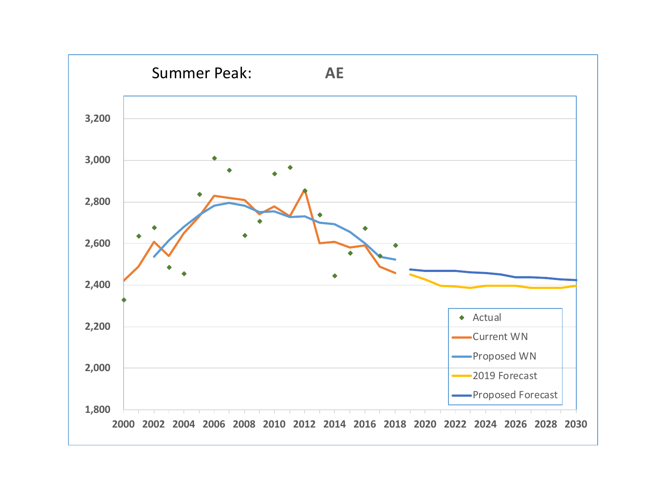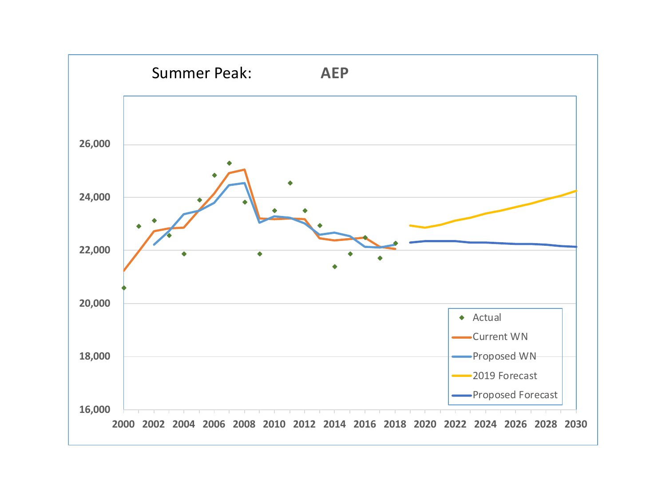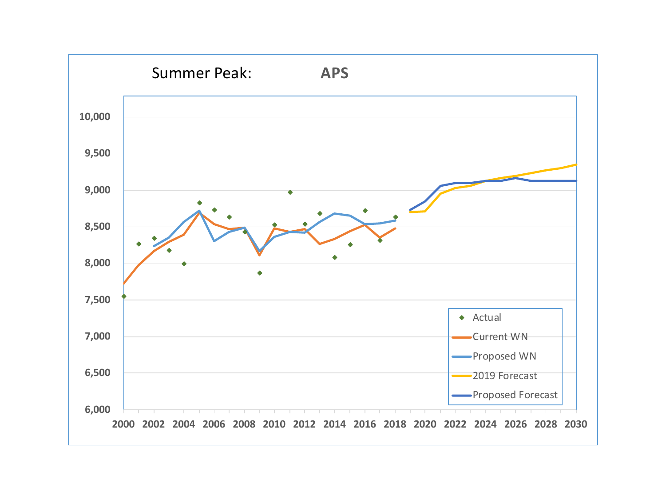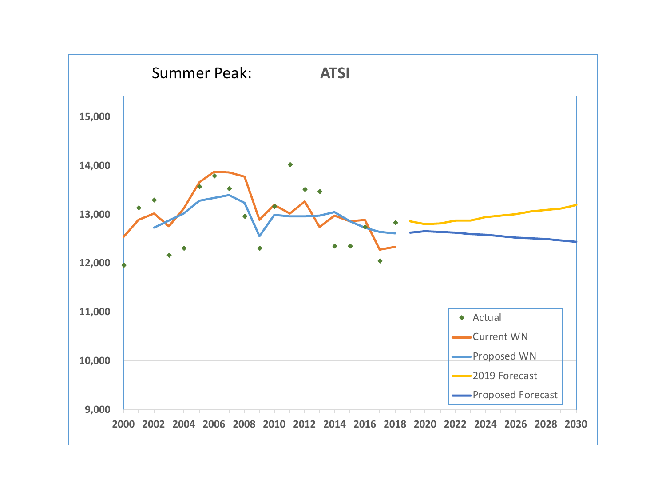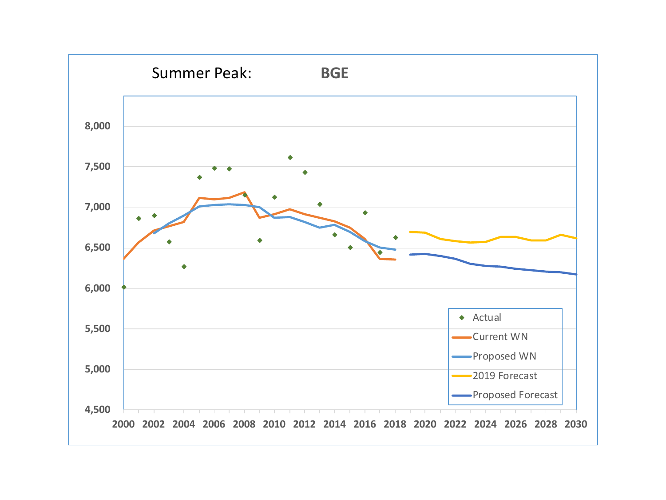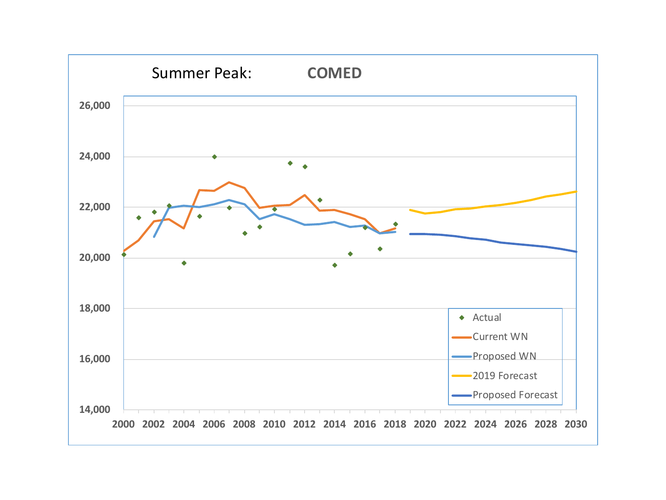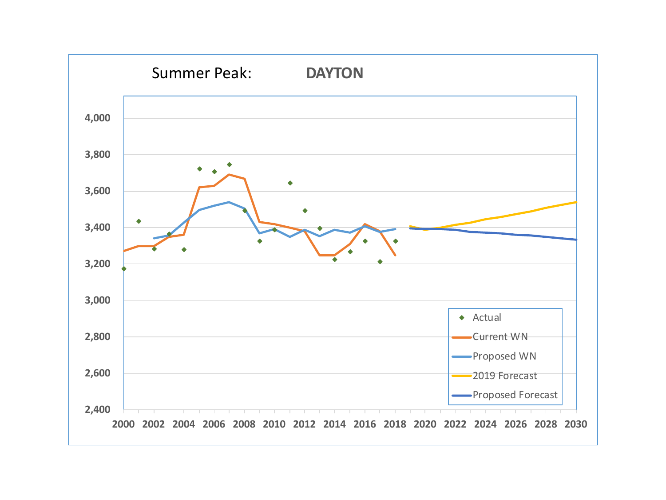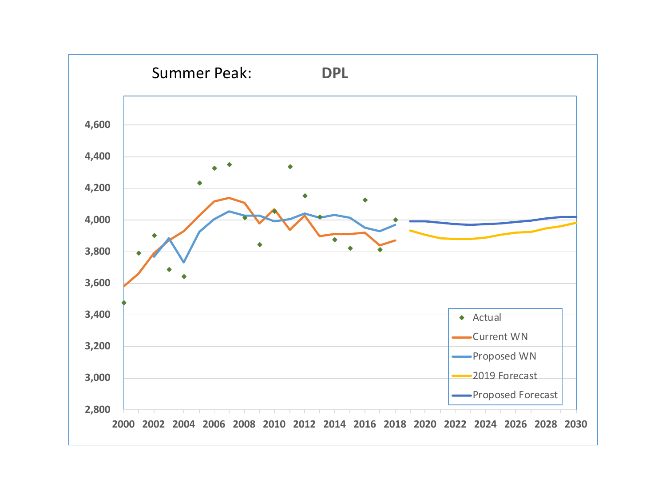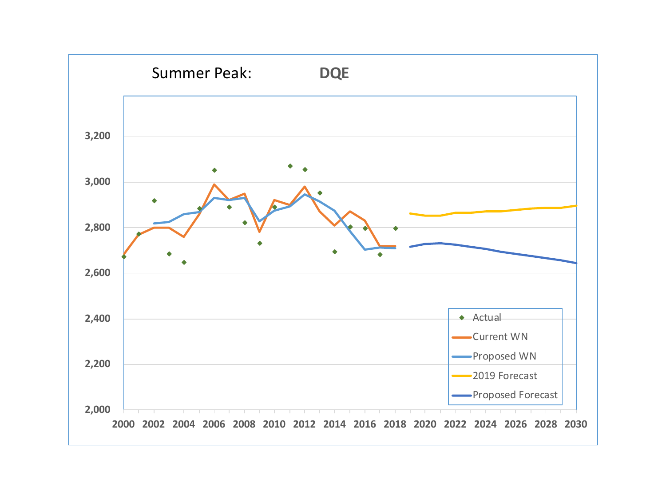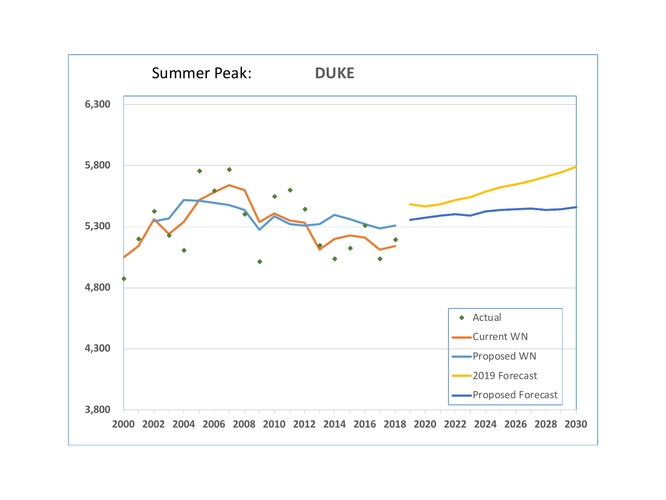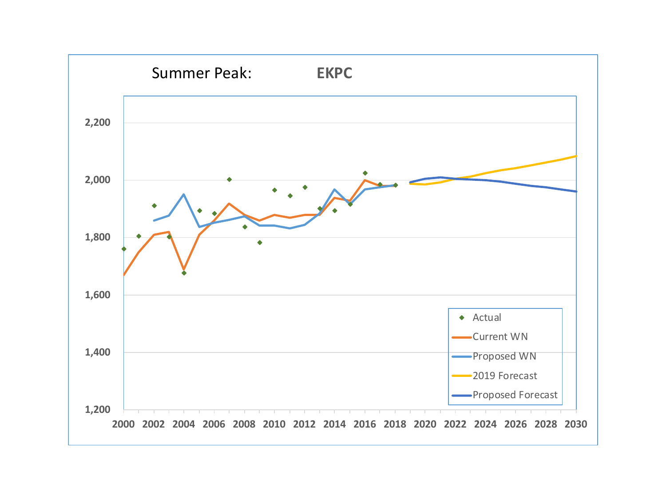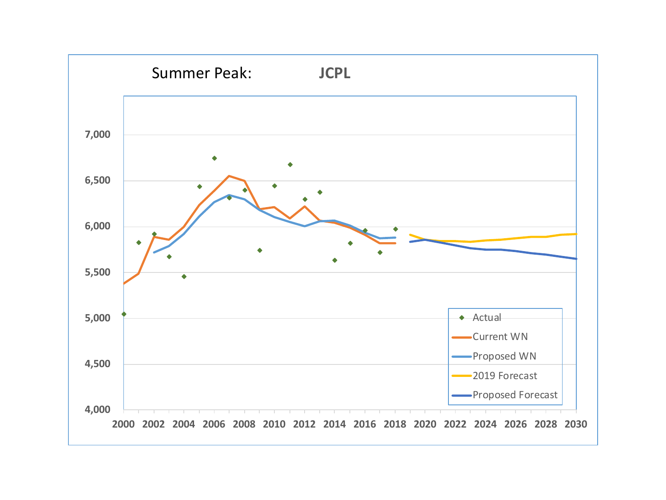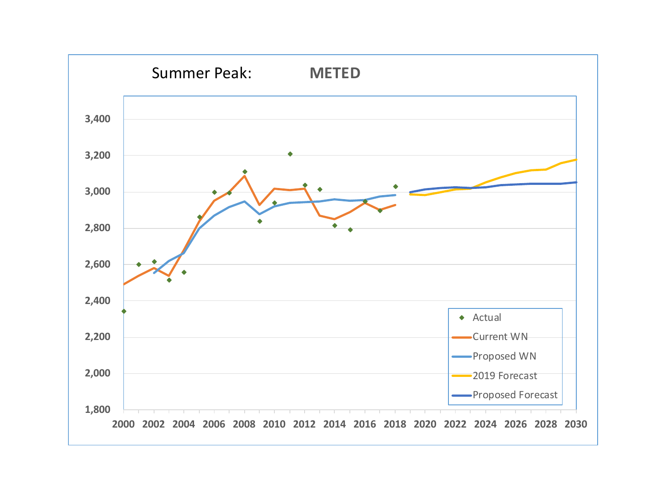![](_page_13_Figure_0.jpeg)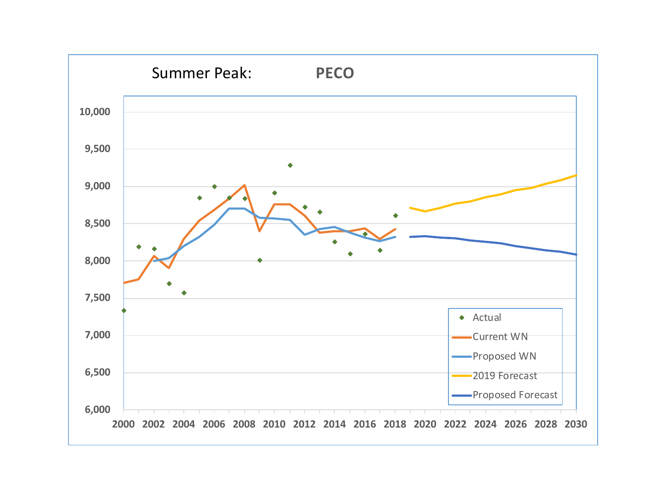![](_page_14_Figure_0.jpeg)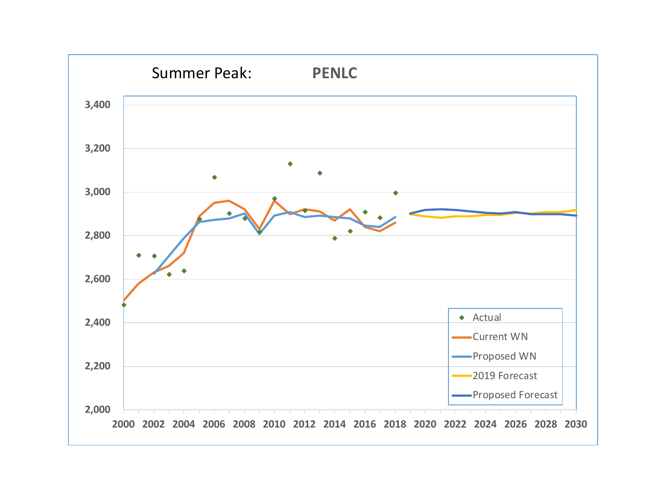![](_page_15_Figure_0.jpeg)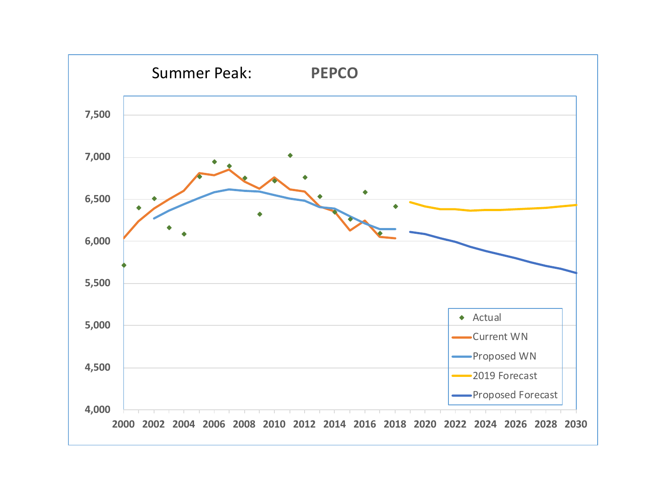![](_page_16_Figure_0.jpeg)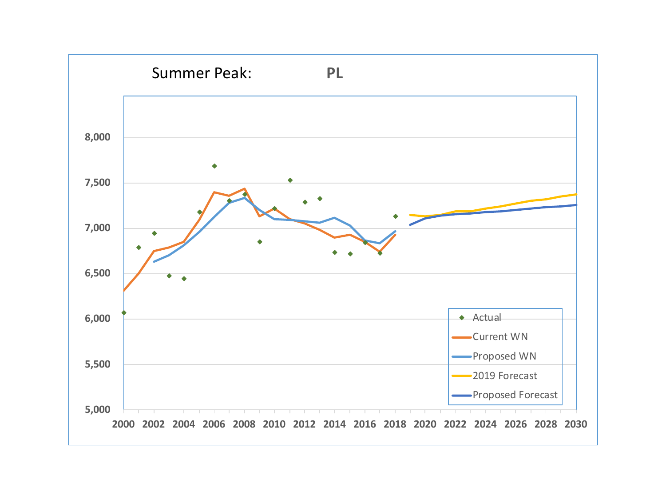![](_page_17_Figure_0.jpeg)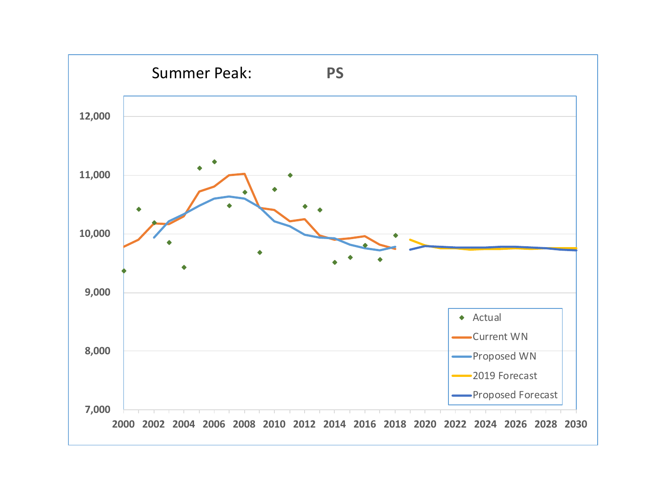![](_page_18_Figure_0.jpeg)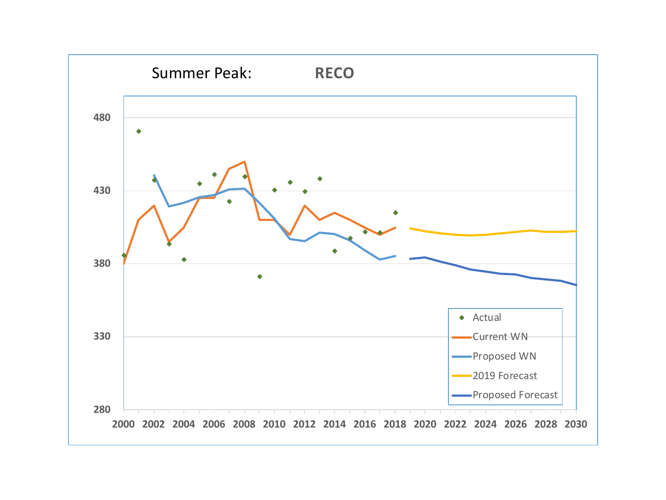![](_page_19_Figure_0.jpeg)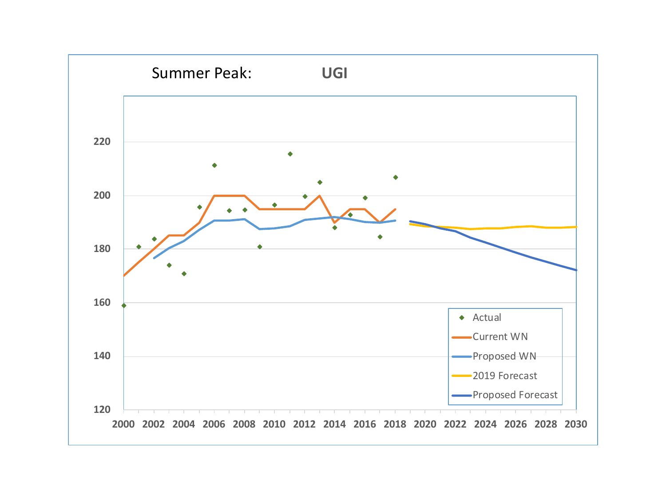![](_page_20_Figure_0.jpeg)